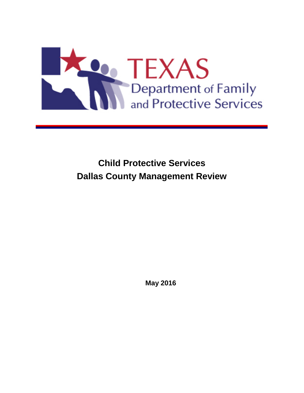

**Child Protective Services Dallas County Management Review**

**May 2016**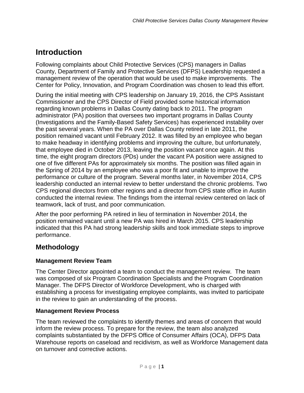# **Introduction**

Following complaints about Child Protective Services (CPS) managers in Dallas County, Department of Family and Protective Services (DFPS) Leadership requested a management review of the operation that would be used to make improvements. The Center for Policy, Innovation, and Program Coordination was chosen to lead this effort.

During the initial meeting with CPS leadership on January 19, 2016, the CPS Assistant Commissioner and the CPS Director of Field provided some historical information regarding known problems in Dallas County dating back to 2011. The program administrator (PA) position that oversees two important programs in Dallas County (Investigations and the Family-Based Safety Services) has experienced instability over the past several years. When the PA over Dallas County retired in late 2011, the position remained vacant until February 2012. It was filled by an employee who began to make headway in identifying problems and improving the culture, but unfortunately, that employee died in October 2013, leaving the position vacant once again. At this time, the eight program directors (PDs) under the vacant PA position were assigned to one of five different PAs for approximately six months. The position was filled again in the Spring of 2014 by an employee who was a poor fit and unable to improve the performance or culture of the program. Several months later, in November 2014, CPS leadership conducted an internal review to better understand the chronic problems. Two CPS regional directors from other regions and a director from CPS state office in Austin conducted the internal review. The findings from the internal review centered on lack of teamwork, lack of trust, and poor communication.

After the poor performing PA retired in lieu of termination in November 2014, the position remained vacant until a new PA was hired in March 2015. CPS leadership indicated that this PA had strong leadership skills and took immediate steps to improve performance.

## **Methodology**

#### **Management Review Team**

The Center Director appointed a team to conduct the management review. The team was composed of six Program Coordination Specialists and the Program Coordination Manager. The DFPS Director of Workforce Development, who is charged with establishing a process for investigating employee complaints, was invited to participate in the review to gain an understanding of the process.

#### **Management Review Process**

The team reviewed the complaints to identify themes and areas of concern that would inform the review process. To prepare for the review, the team also analyzed complaints substantiated by the DFPS Office of Consumer Affairs (OCA), DFPS Data Warehouse reports on caseload and recidivism, as well as Workforce Management data on turnover and corrective actions.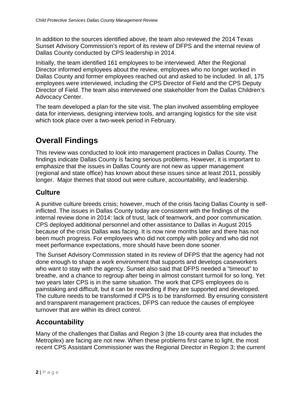In addition to the sources identified above, the team also reviewed the 2014 Texas Sunset Advisory Commission's report of its review of DFPS and the internal review of Dallas County conducted by CPS leadership in 2014.

Initially, the team identified 161 employees to be interviewed. After the Regional Director informed employees about the review, employees who no longer worked in Dallas County and former employees reached out and asked to be included. In all, 175 employees were interviewed, including the CPS Director of Field and the CPS Deputy Director of Field. The team also interviewed one stakeholder from the Dallas Children's Advocacy Center.

The team developed a plan for the site visit. The plan involved assembling employee data for interviews, designing interview tools, and arranging logistics for the site visit which took place over a two-week period in February.

## **Overall Findings**

This review was conducted to look into management practices in Dallas County. The findings indicate Dallas County is facing serious problems. However, it is important to emphasize that the issues in Dallas County are not new as upper management (regional and state office) has known about these issues since at least 2011, possibly longer. Major themes that stood out were culture, accountability, and leadership.

### **Culture**

A punitive culture breeds crisis; however, much of the crisis facing Dallas County is selfinflicted. The issues in Dallas County today are consistent with the findings of the internal review done in 2014: lack of trust, lack of teamwork, and poor communication. CPS deployed additional personnel and other assistance to Dallas in August 2015 because of the crisis Dallas was facing. It is now nine months later and there has not been much progress. For employees who did not comply with policy and who did not meet performance expectations, more should have been done sooner.

The Sunset Advisory Commission stated in its review of DFPS that the agency had not done enough to shape a work environment that supports and develops caseworkers who want to stay with the agency. Sunset also said that DFPS needed a "timeout" to breathe, and a chance to regroup after being in almost constant turmoil for so long. Yet two years later CPS is in the same situation. The work that CPS employees do is painstaking and difficult, but it can be rewarding if they are supported and developed. The culture needs to be transformed if CPS is to be transformed. By ensuring consistent and transparent management practices, DFPS can reduce the causes of employee turnover that are within its direct control.

### **Accountability**

Many of the challenges that Dallas and Region 3 (the 18-county area that includes the Metroplex) are facing are not new. When these problems first came to light, the most recent CPS Assistant Commissioner was the Regional Director in Region 3; the current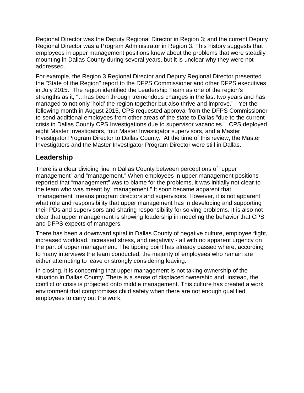Regional Director was the Deputy Regional Director in Region 3; and the current Deputy Regional Director was a Program Administrator in Region 3. This history suggests that employees in upper management positions knew about the problems that were steadily mounting in Dallas County during several years, but it is unclear why they were not addressed.

For example, the Region 3 Regional Director and Deputy Regional Director presented the "State of the Region" report to the DFPS Commissioner and other DFPS executives in July 2015. The region identified the Leadership Team as one of the region's strengths as it, "…has been through tremendous changes in the last two years and has managed to not only 'hold' the region together but also thrive and improve." Yet the following month in August 2015, CPS requested approval from the DFPS Commissioner to send additional employees from other areas of the state to Dallas "due to the current crisis in Dallas County CPS Investigations due to supervisor vacancies." CPS deployed eight Master Investigators, four Master Investigator supervisors, and a Master Investigator Program Director to Dallas County. At the time of this review, the Master Investigators and the Master Investigator Program Director were still in Dallas.

### **Leadership**

There is a clear dividing line in Dallas County between perceptions of "upper management" and "management." When employees in upper management positions reported that "management" was to blame for the problems, it was initially not clear to the team who was meant by "management." It soon became apparent that "management" means program directors and supervisors. However, it is not apparent what role and responsibility that upper management has in developing and supporting their PDs and supervisors and sharing responsibility for solving problems. It is also not clear that upper management is showing leadership in modeling the behavior that CPS and DFPS expects of managers.

There has been a downward spiral in Dallas County of negative culture, employee flight, increased workload, increased stress, and negativity - all with no apparent urgency on the part of upper management. The tipping point has already passed where, according to many interviews the team conducted, the majority of employees who remain are either attempting to leave or strongly considering leaving.

In closing, it is concerning that upper management is not taking ownership of the situation in Dallas County. There is a sense of displaced ownership and, instead, the conflict or crisis is projected onto middle management. This culture has created a work environment that compromises child safety when there are not enough qualified employees to carry out the work.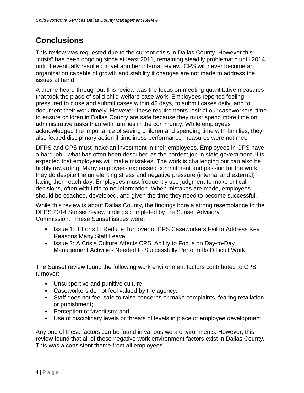# **Conclusions**

This review was requested due to the current crisis in Dallas County. However this "crisis" has been ongoing since at least 2011, remaining steadily problematic until 2014, until it eventually resulted in yet another internal review. CPS will never become an organization capable of growth and stability if changes are not made to address the issues at hand.

A theme heard throughout this review was the focus on meeting quantitative measures that took the place of solid child welfare case work. Employees reported feeling pressured to close and submit cases within 45 days, to submit cases daily, and to document their work timely. However, these requirements restrict our caseworkers' time to ensure children in Dallas County are safe because they must spend more time on administrative tasks than with families in the community. While employees acknowledged the importance of seeing children and spending time with families, they also feared disciplinary action if timeliness performance measures were not met.

DFPS and CPS must make an investment in their employees. Employees in CPS have a hard job - what has often been described as the hardest job in state government. It is expected that employees will make mistakes. The work is challenging but can also be highly rewarding. Many employees expressed commitment and passion for the work they do despite the unrelenting stress and negative pressure (internal and external) facing them each day. Employees must frequently use judgment to make critical decisions, often with little to no information. When mistakes are made, employees should be coached, developed, and given the time they need to become successful.

While this review is about Dallas County, the findings bore a strong resemblance to the DFPS 2014 Sunset review findings completed by the Sunset Advisory Commission. These Sunset issues were:

- Issue 1: Efforts to Reduce Turnover of CPS Caseworkers Fail to Address Key Reasons Many Staff Leave.
- Issue 2: A Crisis Culture Affects CPS' Ability to Focus on Day-to-Day Management Activities Needed to Successfully Perform Its Difficult Work.

The Sunset review found the following work environment factors contributed to CPS turnover:

- Unsupportive and punitive culture;
- Caseworkers do not feel valued by the agency;
- Staff does not feel safe to raise concerns or make complaints, fearing retaliation or punishment;
- Perception of favoritism; and
- Use of disciplinary levels or threats of levels in place of employee development.

Any one of these factors can be found in various work environments. However, this review found that all of these negative work environment factors exist in Dallas County. This was a consistent theme from all employees.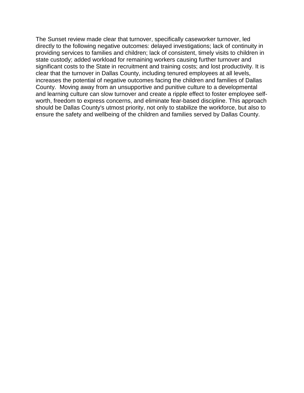The Sunset review made clear that turnover, specifically caseworker turnover, led directly to the following negative outcomes: delayed investigations; lack of continuity in providing services to families and children; lack of consistent, timely visits to children in state custody; added workload for remaining workers causing further turnover and significant costs to the State in recruitment and training costs; and lost productivity. It is clear that the turnover in Dallas County, including tenured employees at all levels, increases the potential of negative outcomes facing the children and families of Dallas County. Moving away from an unsupportive and punitive culture to a developmental and learning culture can slow turnover and create a ripple effect to foster employee selfworth, freedom to express concerns, and eliminate fear-based discipline. This approach should be Dallas County's utmost priority, not only to stabilize the workforce, but also to ensure the safety and wellbeing of the children and families served by Dallas County.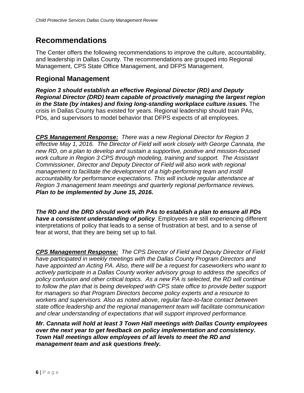## **Recommendations**

The Center offers the following recommendations to improve the culture, accountability, and leadership in Dallas County. The recommendations are grouped into Regional Management, CPS State Office Management, and DFPS Management.

### **Regional Management**

*Region 3 should establish an effective Regional Director (RD) and Deputy Regional Director (DRD) team capable of proactively managing the largest region in the State (by intakes) and fixing long-standing workplace culture issues.* The crisis in Dallas County has existed for years. Regional leadership should train PAs, PDs, and supervisors to model behavior that DFPS expects of all employees.

*CPS Management Response: There was a new Regional Director for Region 3 effective May 1, 2016. The Director of Field will work closely with George Cannata, the new RD, on a plan to develop and sustain a supportive, positive and mission-focused work culture in Region 3 CPS through modeling, training and support. The Assistant Commissioner, Director and Deputy Director of Field will also work with regional management to facilitate the development of a high-performing team and instill accountability for performance expectations. This will include regular attendance at Region 3 management team meetings and quarterly regional performance reviews. Plan to be implemented by June 15, 2016.*

*The RD and the DRD should work with PAs to establish a plan to ensure all PDs have a consistent understanding of policy*. Employees are still experiencing different interpretations of policy that leads to a sense of frustration at best, and to a sense of fear at worst, that they are being set up to fail.

*CPS Management Response: The CPS Director of Field and Deputy Director of Field have participated in weekly meetings with the Dallas County Program Directors and have appointed an Acting PA. Also, there will be a request for caseworkers who want to actively participate in a Dallas County worker advisory group to address the specifics of policy confusion and other critical topics. As a new PA is selected, the RD will continue to follow the plan that is being developed with CPS state office to provide better support for managers so that Program Directors become policy experts and a resource to workers and supervisors. Also as noted above, regular face-to-face contact between state office leadership and the regional management team will facilitate communication and clear understanding of expectations that will support improved performance.* 

*Mr. Cannata will hold at least 3 Town Hall meetings with Dallas County employees over the next year to get feedback on policy implementation and consistency. Town Hall meetings allow employees of all levels to meet the RD and management team and ask questions freely.*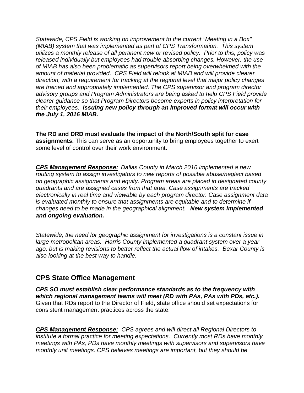*Statewide, CPS Field is working on improvement to the current "Meeting in a Box" (MIAB) system that was implemented as part of CPS Transformation. This system utilizes a monthly release of all pertinent new or revised policy. Prior to this, policy was released individually but employees had trouble absorbing changes. However, the use of MIAB has also been problematic as supervisors report being overwhelmed with the amount of material provided. CPS Field will relook at MIAB and will provide clearer direction, with a requirement for tracking at the regional level that major policy changes are trained and appropriately implemented. The CPS supervisor and program director advisory groups and Program Administrators are being asked to help CPS Field provide clearer guidance so that Program Directors become experts in policy interpretation for their employees. Issuing new policy through an improved format will occur with the July 1, 2016 MIAB.* 

**The RD and DRD must evaluate the impact of the North/South split for case assignments.** This can serve as an opportunity to bring employees together to exert some level of control over their work environment.

*CPS Management Response: Dallas County in March 2016 implemented a new routing system to assign investigators to new reports of possible abuse/neglect based on geographic assignments and equity. Program areas are placed in designated county quadrants and are assigned cases from that area. Case assignments are tracked electronically in real time and viewable by each program director. Case assignment data is evaluated monthly to ensure that assignments are equitable and to determine if changes need to be made in the geographical alignment. New system implemented and ongoing evaluation.*

*Statewide, the need for geographic assignment for investigations is a constant issue in large metropolitan areas. Harris County implemented a quadrant system over a year ago, but is making revisions to better reflect the actual flow of intakes. Bexar County is also looking at the best way to handle.* 

### **CPS State Office Management**

*CPS SO must establish clear performance standards as to the frequency with which regional management teams will meet (RD with PAs, PAs with PDs, etc.).* Given that RDs report to the Director of Field, state office should set expectations for consistent management practices across the state.

*CPS Management Response: CPS agrees and will direct all Regional Directors to institute a formal practice for meeting expectations. Currently most RDs have monthly meetings with PAs, PDs have monthly meetings with supervisors and supervisors have monthly unit meetings. CPS believes meetings are important, but they should be*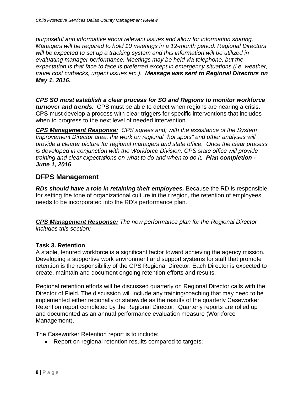*purposeful and informative about relevant issues and allow for information sharing. Managers will be required to hold 10 meetings in a 12-month period. Regional Directors will be expected to set up a tracking system and this information will be utilized in evaluating manager performance. Meetings may be held via telephone, but the expectation is that face to face is preferred except in emergency situations (i.e. weather, travel cost cutbacks, urgent issues etc.). Message was sent to Regional Directors on May 1, 2016.* 

*CPS SO must establish a clear process for SO and Regions to monitor workforce turnover and trends.* CPS must be able to detect when regions are nearing a crisis. CPS must develop a process with clear triggers for specific interventions that includes when to progress to the next level of needed intervention.

*CPS Management Response: CPS agrees and, with the assistance of the System Improvement Director area, the work on regional "hot spots" and other analyses will provide a clearer picture for regional managers and state office. Once the clear process is developed in conjunction with the Workforce Division, CPS state office will provide training and clear expectations on what to do and when to do it. Plan completion - June 1, 2016*

### **DFPS Management**

*RDs should have a role in retaining their employees.* Because the RD is responsible for setting the tone of organizational culture in their region, the retention of employees needs to be incorporated into the RD's performance plan.

*CPS Management Response: The new performance plan for the Regional Director includes this section:*

#### **Task 3. Retention**

A stable, tenured workforce is a significant factor toward achieving the agency mission. Developing a supportive work environment and support systems for staff that promote retention is the responsibility of the CPS Regional Director. Each Director is expected to create, maintain and document ongoing retention efforts and results.

Regional retention efforts will be discussed quarterly on Regional Director calls with the Director of Field. The discussion will include any training/coaching that may need to be implemented either regionally or statewide as the results of the quarterly Caseworker Retention report completed by the Regional Director. Quarterly reports are rolled up and documented as an annual performance evaluation measure (Workforce Management).

The Caseworker Retention report is to include:

• Report on regional retention results compared to targets;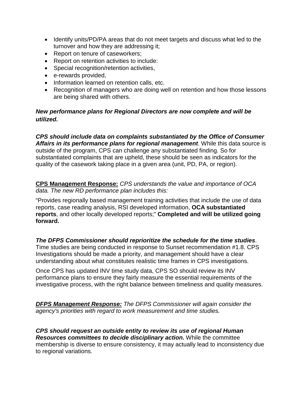- Identify units/PD/PA areas that do not meet targets and discuss what led to the turnover and how they are addressing it;
- Report on tenure of caseworkers;
- Report on retention activities to include:
- Special recognition/retention activities,
- e-rewards provided,
- Information learned on retention calls, etc.
- Recognition of managers who are doing well on retention and how those lessons are being shared with others.

#### *New performance plans for Regional Directors are now complete and will be utilized.*

*CPS should include data on complaints substantiated by the Office of Consumer Affairs in its performance plans for regional management*. While this data source is outside of the program, CPS can challenge any substantiated finding. So for substantiated complaints that are upheld, these should be seen as indicators for the quality of the casework taking place in a given area (unit, PD, PA, or region).

**CPS Management Response:** *CPS understands the value and importance of OCA data. The new RD performance plan includes this:*

"Provides regionally based management training activities that include the use of data reports, case reading analysis, RSI developed information, **OCA substantiated reports**, and other locally developed reports;" **Completed and will be utilized going forward.**

*The DFPS Commissioner should reprioritize the schedule for the time studies*.

Time studies are being conducted in response to Sunset recommendation #1.8. CPS Investigations should be made a priority, and management should have a clear understanding about what constitutes realistic time frames in CPS investigations.

Once CPS has updated INV time study data, CPS SO should review its INV performance plans to ensure they fairly measure the essential requirements of the investigative process, with the right balance between timeliness and quality measures.

*DFPS Management Response: The DFPS Commissioner will again consider the agency's priorities with regard to work measurement and time studies.*

*CPS should request an outside entity to review its use of regional Human Resources committees to decide disciplinary action.* While the committee membership is diverse to ensure consistency, it may actually lead to inconsistency due to regional variations.